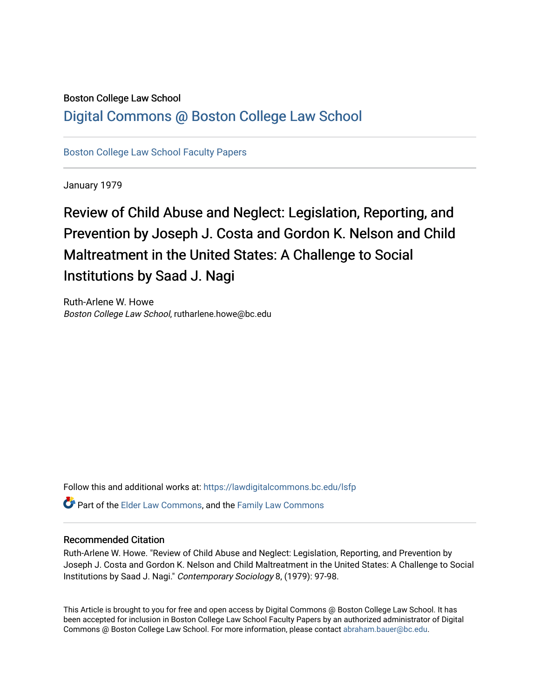## Boston College Law School

# [Digital Commons @ Boston College Law School](https://lawdigitalcommons.bc.edu/)

[Boston College Law School Faculty Papers](https://lawdigitalcommons.bc.edu/lsfp) 

January 1979

# Review of Child Abuse and Neglect: Legislation, Reporting, and Prevention by Joseph J. Costa and Gordon K. Nelson and Child Maltreatment in the United States: A Challenge to Social Institutions by Saad J. Nagi

Ruth-Arlene W. Howe Boston College Law School, rutharlene.howe@bc.edu

Follow this and additional works at: [https://lawdigitalcommons.bc.edu/lsfp](https://lawdigitalcommons.bc.edu/lsfp?utm_source=lawdigitalcommons.bc.edu%2Flsfp%2F683&utm_medium=PDF&utm_campaign=PDFCoverPages) 

Part of the [Elder Law Commons](http://network.bepress.com/hgg/discipline/842?utm_source=lawdigitalcommons.bc.edu%2Flsfp%2F683&utm_medium=PDF&utm_campaign=PDFCoverPages), and the [Family Law Commons](http://network.bepress.com/hgg/discipline/602?utm_source=lawdigitalcommons.bc.edu%2Flsfp%2F683&utm_medium=PDF&utm_campaign=PDFCoverPages) 

### Recommended Citation

Ruth-Arlene W. Howe. "Review of Child Abuse and Neglect: Legislation, Reporting, and Prevention by Joseph J. Costa and Gordon K. Nelson and Child Maltreatment in the United States: A Challenge to Social Institutions by Saad J. Nagi." Contemporary Sociology 8, (1979): 97-98.

This Article is brought to you for free and open access by Digital Commons @ Boston College Law School. It has been accepted for inclusion in Boston College Law School Faculty Papers by an authorized administrator of Digital Commons @ Boston College Law School. For more information, please contact [abraham.bauer@bc.edu.](mailto:abraham.bauer@bc.edu)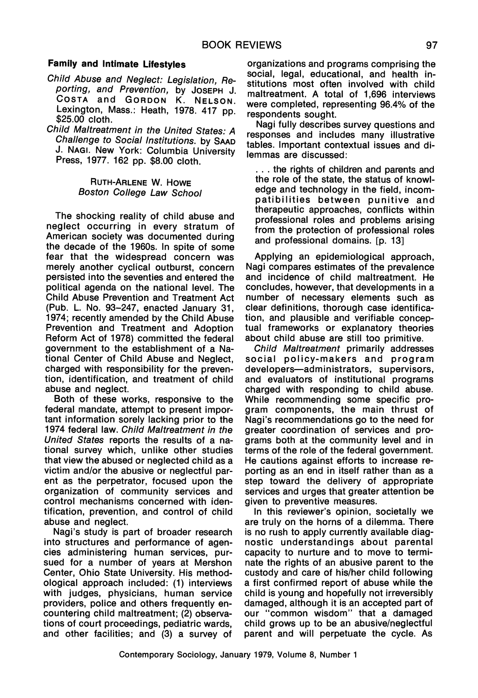#### **Family and Intimate Lifestyles**

- Child Abuse and Neglect: Legislation, Reporting, and Prevention, by JOSEPH J. COSTA and GORDON K. NELSON. Lexington, Mass.: Heath, 1978. 417 pp.  $$25.00$  cloth.
- Child Maltreatment in the United States: A Challenge to Social Institutions. by SAAD J. NAGI. New York: Columbia University Press, 1977. 162 pp. \$8.00 cloth.

#### RUTH-ARLENE W. HOWE Boston College Law School

The shocking reality of child abuse and neglect occurring in every stratum of American society was documented during the decade of the 1960s. In spite of some fear that the widespread concern was merely another cyclical outburst, concern persisted into the seventies and entered the political agenda on the national level. The Child Abuse Prevention and Treatment Act (Pub. L. No. 93-247, enacted January 31, 1974; recently amended by the Child Abuse Prevention and Treatment and Adoption Reform Act of 1978) committed the federal government to the establishment of a National Center of Child Abuse and Neglect, charged with responsibility for the prevention, identification, and treatment of child abuse and neglect.

Both of these works, responsive to the federal mandate, attempt to present important information sorely lacking prior to the 1974 federal law. Child Maltreatment in the United States reports the results of a national survey which, unlike other studies that view the abused or neglected child as a victim and/or the abusive or neglectful parent as the perpetrator, focused upon the organization of community services and control mechanisms concerned with identification, prevention, and control of child abuse and neglect.

Nagi's study is part of broader research into structures and performance of agencies administering human services, pursued for a number of years at Mershon Center, Ohio State University. His methodological approach included: (1) interviews with judges, physicians, human service providers, police and others frequently encountering child maltreatment; (2) observations of court proceedings, pediatric wards, and other facilities; and (3) a survey of

organizations and programs comprising the social, legal, educational, and health institutions most often involved with child maltreatment, A total of 1,696 interviews were completed, representing 96.4% of the respondents sought.

Nagi fully describes survey questions and responses and includes many illustrative tables. Important contextual issues and dilemmas are discussed:

... the rights of children and parents and the role of the state, the status of knowledge and technology in the field, incompatibilities between punitive and therapeutic approaches, conflicts within professional roles and problems arising from the protection of professional roles and professional domains. [p. 13]

Applying an epidemiological approach, Nagi compares estimates of the prevalence and incidence of child maltreatment. He concludes, however, that developments in a number of necessary elements such as clear definitions, thorough case identification, and plausible and verifiable conceptual frameworks or explanatory theories about child abuse are still too primitive.

Child Maltreatment primarily addresses social policy-makers and program developers-administrators, supervisors, and evaluators of institutional programs charged with responding to child abuse. While recommending some specific program components, the main thrust of Nagi's recommendations go to the need for greater coordination of services and programs both at the community level and in terms of the role of the federal government. He cautions against efforts to increase reporting as an end in itself rather than as a step toward the delivery of appropriate services and urges that greater attention be given to preventive measures.

In this reviewer's opinion, societally we are truly on the horns of a dilemma. There is no rush to apply currently available diagnostic understandings about parental capacity to nurture and to move to terminate the rights of an abusive parent to the custody and care of his/her child following a first confirmed report of abuse while the child is young and hopefully not irreversibly damaged, although it is an accepted part of our "common wisdom" that a damaged child grows up to be an abusive/neglectful parent and will perpetuate the cycle. As